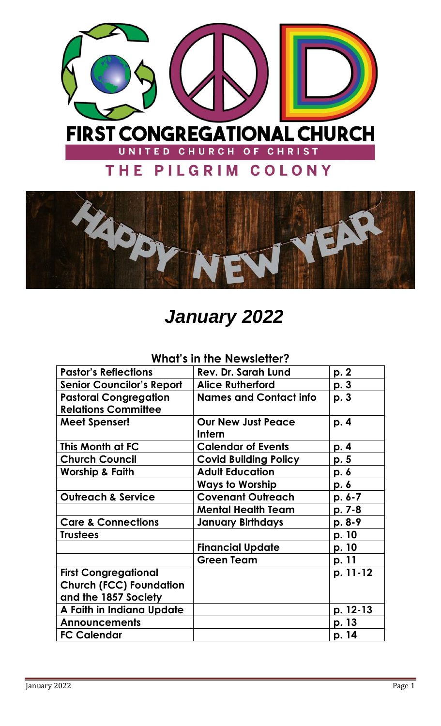



# *January 2022*

## **What's in the Newsletter?**

| <b>Pastor's Reflections</b>      | <b>Rev. Dr. Sarah Lund</b>    | p. 2       |
|----------------------------------|-------------------------------|------------|
| <b>Senior Councilor's Report</b> | <b>Alice Rutherford</b>       | p. 3       |
| <b>Pastoral Congregation</b>     | <b>Names and Contact info</b> | p. 3       |
| <b>Relations Committee</b>       |                               |            |
| <b>Meet Spenser!</b>             | <b>Our New Just Peace</b>     | p. 4       |
|                                  | Intern                        |            |
| This Month at FC                 | <b>Calendar of Events</b>     | p. 4       |
| <b>Church Council</b>            | <b>Covid Building Policy</b>  | p. 5       |
| <b>Worship &amp; Faith</b>       | <b>Adult Education</b>        | p. 6       |
|                                  | <b>Ways to Worship</b>        | p. 6       |
| <b>Outreach &amp; Service</b>    | <b>Covenant Outreach</b>      | $p. 6 - 7$ |
|                                  | <b>Mental Health Team</b>     | p. 7-8     |
| <b>Care &amp; Connections</b>    | <b>January Birthdays</b>      | p. 8-9     |
| <b>Trustees</b>                  |                               | p. 10      |
|                                  | <b>Financial Update</b>       | p. 10      |
|                                  | <b>Green Team</b>             | p. 11      |
| <b>First Congregational</b>      |                               | p. 11-12   |
| <b>Church (FCC) Foundation</b>   |                               |            |
| and the 1857 Society             |                               |            |
| A Faith in Indiana Update        |                               | p. 12-13   |
| <b>Announcements</b>             |                               | p. 13      |
| <b>FC Calendar</b>               |                               | p. 14      |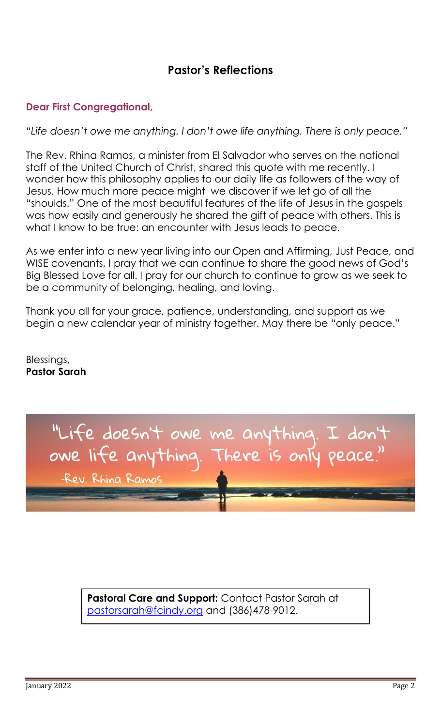## **Pastor's Reflections**

#### **Dear First Congregational,**

*"Life doesn't owe me anything. I don't owe life anything. There is only peace."*

The Rev. Rhina Ramos, a minister from El Salvador who serves on the national staff of the United Church of Christ, shared this quote with me recently. I wonder how this philosophy applies to our daily life as followers of the way of Jesus. How much more peace might we discover if we let go of all the "shoulds." One of the most beautiful features of the life of Jesus in the gospels was how easily and generously he shared the gift of peace with others. This is what I know to be true: an encounter with Jesus leads to peace.

As we enter into a new year living into our Open and Affirming, Just Peace, and WISE covenants, I pray that we can continue to share the good news of God's Big Blessed Love for all. I pray for our church to continue to grow as we seek to be a community of belonging, healing, and loving.

Thank you all for your grace, patience, understanding, and support as we begin a new calendar year of ministry together. May there be "only peace."

Blessings, **Pastor Sarah**



**Pastoral Care and Support:** Contact Pastor Sarah at [pastorsarah@fcindy.org](mailto:pastorsarah@fcindy.org) and (386)478-9012.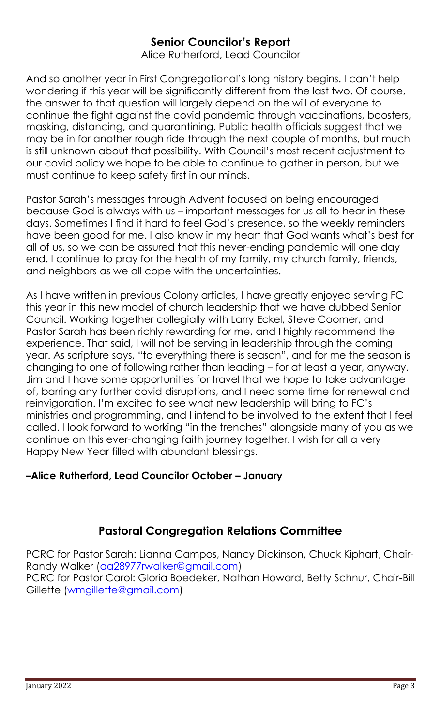## **Senior Councilor's Report**

Alice Rutherford, Lead Councilor

And so another year in First Congregational's long history begins. I can't help wondering if this year will be significantly different from the last two. Of course, the answer to that question will largely depend on the will of everyone to continue the fight against the covid pandemic through vaccinations, boosters, masking, distancing, and quarantining. Public health officials suggest that we may be in for another rough ride through the next couple of months, but much is still unknown about that possibility. With Council's most recent adjustment to our covid policy we hope to be able to continue to gather in person, but we must continue to keep safety first in our minds.

Pastor Sarah's messages through Advent focused on being encouraged because God is always with us – important messages for us all to hear in these days. Sometimes I find it hard to feel God's presence, so the weekly reminders have been good for me. I also know in my heart that God wants what's best for all of us, so we can be assured that this never-ending pandemic will one day end. I continue to pray for the health of my family, my church family, friends, and neighbors as we all cope with the uncertainties.

As I have written in previous Colony articles, I have greatly enjoyed serving FC this year in this new model of church leadership that we have dubbed Senior Council. Working together collegially with Larry Eckel, Steve Coomer, and Pastor Sarah has been richly rewarding for me, and I highly recommend the experience. That said, I will not be serving in leadership through the coming year. As scripture says, "to everything there is season", and for me the season is changing to one of following rather than leading – for at least a year, anyway. Jim and I have some opportunities for travel that we hope to take advantage of, barring any further covid disruptions, and I need some time for renewal and reinvigoration. I'm excited to see what new leadership will bring to FC's ministries and programming, and I intend to be involved to the extent that I feel called. I look forward to working "in the trenches" alongside many of you as we continue on this ever-changing faith journey together. I wish for all a very Happy New Year filled with abundant blessings.

#### **–Alice Rutherford, Lead Councilor October – January**

## **Pastoral Congregation Relations Committee**

PCRC for Pastor Sarah: Lianna Campos, Nancy Dickinson, Chuck Kiphart, Chair-Randy Walker [\(aa28977rwalker@gmail.com\)](mailto:aa28977rwalker@gmail.com) PCRC for Pastor Carol: Gloria Boedeker, Nathan Howard, Betty Schnur, Chair-Bill Gillette [\(wmgillette@gmail.com\)](mailto:wmgillette@gmail.com)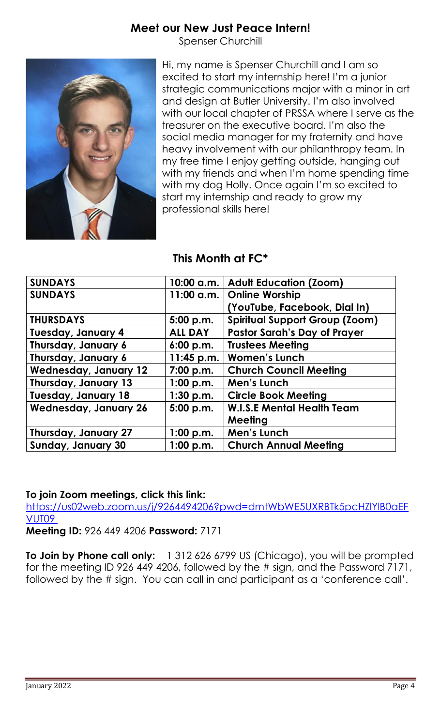## **Meet our New Just Peace Intern!**

Spenser Churchill



Hi, my name is Spenser Churchill and I am so excited to start my internship here! I'm a junior strategic communications major with a minor in art and design at Butler University. I'm also involved with our local chapter of PRSSA where I serve as the treasurer on the executive board. I'm also the social media manager for my fraternity and have heavy involvement with our philanthropy team. In my free time I enjoy getting outside, hanging out with my friends and when I'm home spending time with my dog Holly. Once again I'm so excited to start my internship and ready to grow my professional skills here!

## **This Month at FC\***

| <b>SUNDAYS</b>               |                | 10:00 a.m.   Adult Education (Zoom)   |
|------------------------------|----------------|---------------------------------------|
| <b>SUNDAYS</b>               | 11:00 a.m.     | <b>Online Worship</b>                 |
|                              |                | (YouTube, Facebook, Dial In)          |
| <b>THURSDAYS</b>             | 5:00 p.m.      | <b>Spiritual Support Group (Zoom)</b> |
| <b>Tuesday, January 4</b>    | <b>ALL DAY</b> | <b>Pastor Sarah's Day of Prayer</b>   |
| Thursday, January 6          | 6:00 p.m.      | <b>Trustees Meeting</b>               |
| Thursday, January 6          | 11:45 p.m.     | <b>Women's Lunch</b>                  |
| <b>Wednesday, January 12</b> | 7:00 p.m.      | <b>Church Council Meeting</b>         |
| Thursday, January 13         | 1:00 p.m.      | Men's Lunch                           |
| <b>Tuesday, January 18</b>   | 1:30 p.m.      | <b>Circle Book Meeting</b>            |
| <b>Wednesday, January 26</b> | 5:00 p.m.      | <b>W.I.S.E Mental Health Team</b>     |
|                              |                | Meeting                               |
| Thursday, January 27         | 1:00 p.m.      | Men's Lunch                           |
| <b>Sunday, January 30</b>    | 1:00 p.m.      | <b>Church Annual Meeting</b>          |

#### **To join Zoom meetings, click this link:**

[https://us02web.zoom.us/j/9264494206?pwd=dmtWbWE5UXRBTk5pcHZlYlB0aEF](https://us02web.zoom.us/j/9264494206?pwd=dmtWbWE5UXRBTk5pcHZlYlB0aEFVUT09) [VUT09](https://us02web.zoom.us/j/9264494206?pwd=dmtWbWE5UXRBTk5pcHZlYlB0aEFVUT09)

**Meeting ID:** 926 449 4206 **Password:** 7171

**To Join by Phone call only:** 1 312 626 6799 US (Chicago), you will be prompted for the meeting ID 926 449 4206, followed by the # sign, and the Password 7171, followed by the # sign. You can call in and participant as a 'conference call'.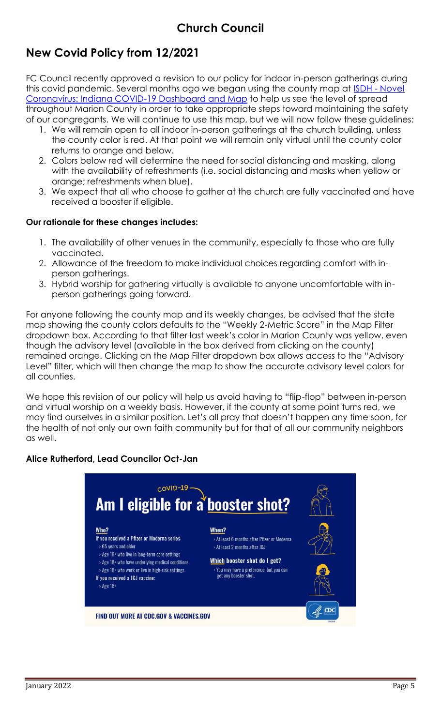## **New Covid Policy from 12/2021**

FC Council recently approved a revision to our policy for indoor in-person gatherings during this covid pandemic. Several months ago we began using the county map at ISDH - [Novel](https://www.coronavirus.in.gov/2393.htm)  [Coronavirus: Indiana COVID-19 Dashboard and Map](https://www.coronavirus.in.gov/2393.htm) to help us see the level of spread throughout Marion County in order to take appropriate steps toward maintaining the safety of our congregants. We will continue to use this map, but we will now follow these guidelines:

- 1. We will remain open to all indoor in-person gatherings at the church building, unless the county color is red. At that point we will remain only virtual until the county color returns to orange and below.
- 2. Colors below red will determine the need for social distancing and masking, along with the availability of refreshments (i.e. social distancing and masks when yellow or orange; refreshments when blue).
- 3. We expect that all who choose to gather at the church are fully vaccinated and have received a booster if eligible.

#### **Our rationale for these changes includes:**

- 1. The availability of other venues in the community, especially to those who are fully vaccinated.
- 2. Allowance of the freedom to make individual choices regarding comfort with inperson gatherings.
- 3. Hybrid worship for gathering virtually is available to anyone uncomfortable with inperson gatherings going forward.

For anyone following the county map and its weekly changes, be advised that the state map showing the county colors defaults to the "Weekly 2-Metric Score" in the Map Filter dropdown box. According to that filter last week's color in Marion County was yellow, even though the advisory level (available in the box derived from clicking on the county) remained orange. Clicking on the Map Filter dropdown box allows access to the "Advisory Level" filter, which will then change the map to show the accurate advisory level colors for all counties.

We hope this revision of our policy will help us avoid having to "flip-flop" between in-person and virtual worship on a weekly basis. However, if the county at some point turns red, we may find ourselves in a similar position. Let's all pray that doesn't happen any time soon, for the health of not only our own faith community but for that of all our community neighbors as well.

#### **Alice Rutherford, Lead Councilor Oct-Jan**

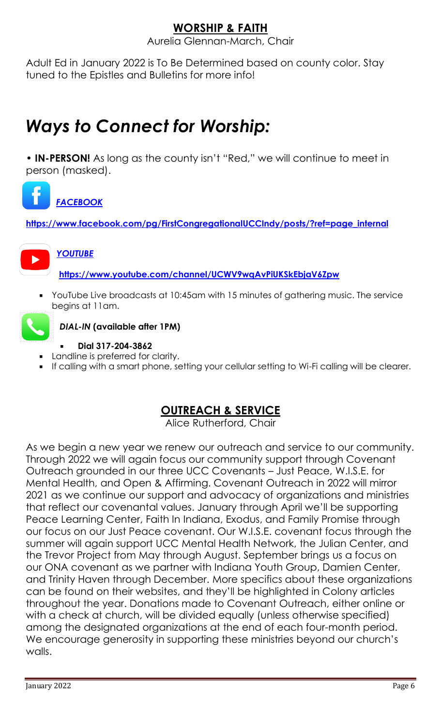## **WORSHIP & FAITH**

Aurelia Glennan-March, Chair

Adult Ed in January 2022 is To Be Determined based on county color. Stay tuned to the Epistles and Bulletins for more info!

## *Ways to Connect for Worship:*

**• IN-PERSON!** As long as the county isn't "Red," we will continue to meet in person (masked).



**[https://www.facebook.com/pg/FirstCongregationalUCCIndy/posts/?ref=page\\_internal](https://www.facebook.com/pg/FirstCongregationalUCCIndy/posts/?ref=page_internal)**



*[YOUTUBE](https://www.youtube.com/channel/UCWV9wqAvPiUKSkEbjaV6Zpw)*

**<https://www.youtube.com/channel/UCWV9wqAvPiUKSkEbjaV6Zpw>**

YouTube Live broadcasts at 10:45am with 15 minutes of gathering music. The service begins at 11am.



*DIAL-IN* **(available after 1PM)**

- **Dial 317-204-3862**
- Landline is preferred for clarity.
- If calling with a smart phone, setting your cellular setting to Wi-Fi calling will be clearer.

## **OUTREACH & SERVICE**

Alice Rutherford, Chair

As we begin a new year we renew our outreach and service to our community. Through 2022 we will again focus our community support through Covenant Outreach grounded in our three UCC Covenants – Just Peace, W.I.S.E. for Mental Health, and Open & Affirming. Covenant Outreach in 2022 will mirror 2021 as we continue our support and advocacy of organizations and ministries that reflect our covenantal values. January through April we'll be supporting Peace Learning Center, Faith In Indiana, Exodus, and Family Promise through our focus on our Just Peace covenant. Our W.I.S.E. covenant focus through the summer will again support UCC Mental Health Network, the Julian Center, and the Trevor Project from May through August. September brings us a focus on our ONA covenant as we partner with Indiana Youth Group, Damien Center, and Trinity Haven through December. More specifics about these organizations can be found on their websites, and they'll be highlighted in Colony articles throughout the year. Donations made to Covenant Outreach, either online or with a check at church, will be divided equally (unless otherwise specified) among the designated organizations at the end of each four-month period. We encourage generosity in supporting these ministries beyond our church's walls.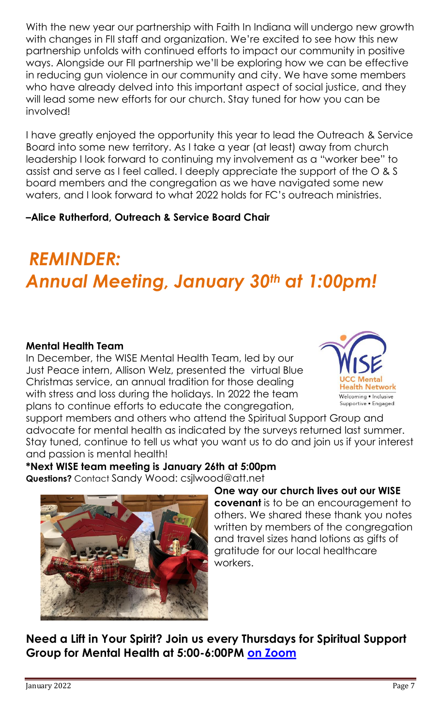With the new year our partnership with Faith In Indiana will undergo new growth with changes in FII staff and organization. We're excited to see how this new partnership unfolds with continued efforts to impact our community in positive ways. Alongside our FII partnership we'll be exploring how we can be effective in reducing gun violence in our community and city. We have some members who have already delved into this important aspect of social justice, and they will lead some new efforts for our church. Stay tuned for how you can be involved!

I have greatly enjoyed the opportunity this year to lead the Outreach & Service Board into some new territory. As I take a year (at least) away from church leadership I look forward to continuing my involvement as a "worker bee" to assist and serve as I feel called. I deeply appreciate the support of the O & S board members and the congregation as we have navigated some new waters, and I look forward to what 2022 holds for FC's outreach ministries.

## **–Alice Rutherford, Outreach & Service Board Chair**

# *REMINDER: Annual Meeting, January 30th at 1:00pm!*

#### **Mental Health Team**

In December, the WISE Mental Health Team, led by our Just Peace intern, Allison Welz, presented the virtual Blue Christmas service, an annual tradition for those dealing with stress and loss during the holidays. In 2022 the team plans to continue efforts to educate the congregation,



support members and others who attend the Spiritual Support Group and advocate for mental health as indicated by the surveys returned last summer. Stay tuned, continue to tell us what you want us to do and join us if your interest and passion is mental health!

**\*Next WISE team meeting is January 26th at 5:00pm Questions?** Contact Sandy Wood: csjlwood@att.net



## **One way our church lives out our WISE**

**covenant** is to be an encouragement to others. We shared these thank you notes written by members of the congregation and travel sizes hand lotions as gifts of gratitude for our local healthcare workers.

**Need a Lift in Your Spirit? Join us every Thursdays for Spiritual Support Group for Mental Health at 5:00-6:00PM [on Zoom](https://us02web.zoom.us/j/9264494206?pwd=dmtWbWE5UXRBTk5pcHZlYlB0aEFVUT09)**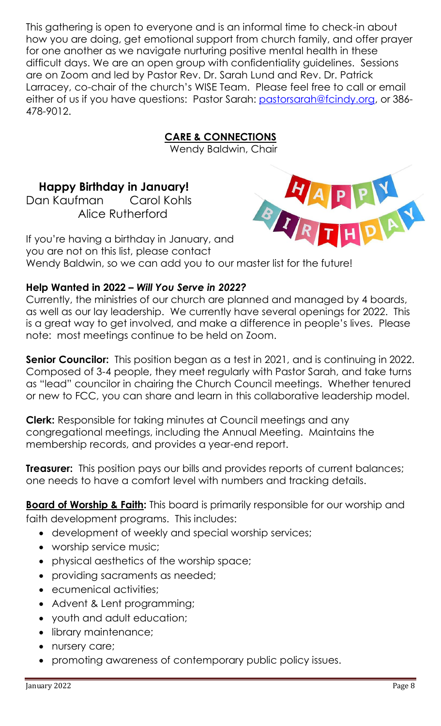This gathering is open to everyone and is an informal time to check-in about how you are doing, get emotional support from church family, and offer prayer for one another as we navigate nurturing positive mental health in these difficult days. We are an open group with confidentiality guidelines. Sessions are on Zoom and led by Pastor Rev. Dr. Sarah Lund and Rev. Dr. Patrick Larracey, co-chair of the church's WISE Team. Please feel free to call or email either of us if you have questions: Pastor Sarah: [pastorsarah@fcindy.org,](mailto:pastorsarah@fcindy.org) or 386-478-9012.

## **CARE & CONNECTIONS**

Wendy Baldwin, Chair

## **Happy Birthday in January!**

Dan Kaufman Carol Kohls Alice Rutherford



If you're having a birthday in January, and you are not on this list, please contact Wendy Baldwin, so we can add you to our master list for the future!

#### **Help Wanted in 2022 –** *Will You Serve in 2022?*

Currently, the ministries of our church are planned and managed by 4 boards, as well as our lay leadership. We currently have several openings for 2022. This is a great way to get involved, and make a difference in people's lives. Please note: most meetings continue to be held on Zoom.

**Senior Councilor:** This position began as a test in 2021, and is continuing in 2022. Composed of 3-4 people, they meet regularly with Pastor Sarah, and take turns as "lead" councilor in chairing the Church Council meetings. Whether tenured or new to FCC, you can share and learn in this collaborative leadership model.

**Clerk:** Responsible for taking minutes at Council meetings and any congregational meetings, including the Annual Meeting. Maintains the membership records, and provides a year-end report.

**Treasurer:** This position pays our bills and provides reports of current balances; one needs to have a comfort level with numbers and tracking details.

**Board of Worship & Faith:** This board is primarily responsible for our worship and faith development programs. This includes:

- development of weekly and special worship services;
- worship service music;
- physical aesthetics of the worship space;
- providing sacraments as needed;
- ecumenical activities;
- Advent & Lent programming;
- youth and adult education;
- library maintenance;
- nursery care;
- promoting awareness of contemporary public policy issues.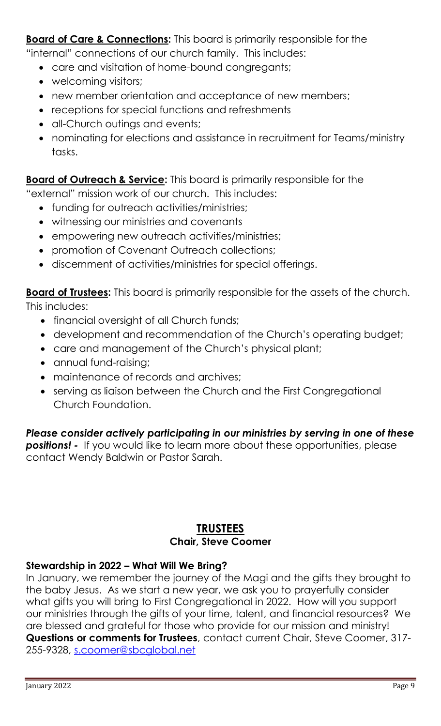**Board of Care & Connections:** This board is primarily responsible for the "internal" connections of our church family. This includes:

- care and visitation of home-bound congregants;
- welcoming visitors;
- new member orientation and acceptance of new members;
- receptions for special functions and refreshments
- all-Church outings and events;
- nominating for elections and assistance in recruitment for Teams/ministry tasks.

**Board of Outreach & Service:** This board is primarily responsible for the

"external" mission work of our church. This includes:

- funding for outreach activities/ministries;
- witnessing our ministries and covenants
- empowering new outreach activities/ministries;
- promotion of Covenant Outreach collections;
- discernment of activities/ministries for special offerings.

**Board of Trustees:** This board is primarily responsible for the assets of the church. This includes:

- financial oversight of all Church funds;
- development and recommendation of the Church's operating budget;
- care and management of the Church's physical plant;
- annual fund-raising;
- maintenance of records and archives;
- serving as liaison between the Church and the First Congregational Church Foundation.

## *Please consider actively participating in our ministries by serving in one of these*

**positions!** - If you would like to learn more about these opportunities, please contact Wendy Baldwin or Pastor Sarah.

## **TRUSTEES**

#### **Chair, Steve Coomer**

#### **Stewardship in 2022 – What Will We Bring?**

In January, we remember the journey of the Magi and the gifts they brought to the baby Jesus. As we start a new year, we ask you to prayerfully consider what gifts you will bring to First Congregational in 2022. How will you support our ministries through the gifts of your time, talent, and financial resources? We are blessed and grateful for those who provide for our mission and ministry! **Questions or comments for Trustees**, contact current Chair, Steve Coomer, 317- 255-9328, [s.coomer@sbcglobal.net](mailto:s.coomer@sbcglobal.net)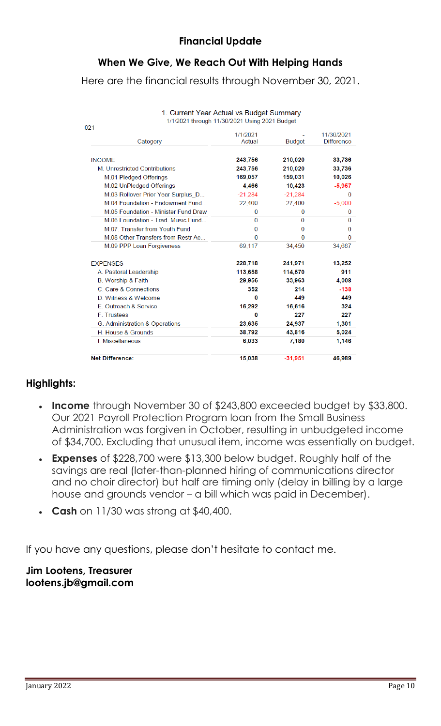## **When We Give, We Reach Out With Helping Hands**

Here are the financial results through November 30, 2021.

| 1/1/2021 through 11/30/2021 Using 2021 Budget<br>021 |                |               |                   |
|------------------------------------------------------|----------------|---------------|-------------------|
|                                                      | 1/1/2021       |               | 11/30/2021        |
| Category                                             | Actual         | <b>Budget</b> | <b>Difference</b> |
| <b>INCOME</b>                                        | 243,756        | 210,020       | 33,736            |
| M. Unrestricted Contributions                        | 243,756        | 210,020       | 33,736            |
| M.01 Pledged Offerings                               | 169,057        | 159,031       | 10,026            |
| M.02 UnPledged Offerings                             | 4.466          | 10,423        | $-5,957$          |
| M.03 Rollover Prior Year Surplus D                   | $-21,284$      | $-21,284$     | $\Omega$          |
| M.04 Foundation - Endowment Fund                     | 22,400         | 27,400        | $-5,000$          |
| M.05 Foundation - Minister Fund Draw                 | $\overline{0}$ | $\bf{0}$      | 0                 |
| M.06 Foundation - Trad. Music Fund                   | $\Omega$       | 0             | 0                 |
| M.07. Transfer from Youth Fund                       | 0              | 0             | 0                 |
| M.08 Other Transfers from Restr Ac                   | $\Omega$       | $\bf{0}$      | $\Omega$          |
| M.09 PPP Loan Forgiveness                            | 69,117         | 34,450        | 34,667            |
| <b>EXPENSES</b>                                      | 228,718        | 241,971       | 13,252            |
| A. Pastoral Leadership                               | 113,658        | 114,570       | 911               |
| B. Worship & Faith                                   | 29,956         | 33,963        | 4,008             |
| C. Care & Connections                                | 352            | 214           | $-138$            |
| D. Witness & Welcome                                 | O              | 449           | 449               |
| E. Outreach & Service                                | 16,292         | 16,616        | 324               |
| F. Trustees                                          | 0              | 227           | 227               |
| G. Administration & Operations                       | 23,635         | 24,937        | 1,301             |
| <b>H</b> House & Grounds                             | 38,792         | 43,816        | 5,024             |
| <b>I.</b> Miscellaneous                              | 6,033          | 7,180         | 1,146             |
| <b>Net Difference:</b>                               | 15,038         | $-31,951$     | 46,989            |

## 1. Current Year Actual vs Budget Summary

## **Highlights:**

- **Income** through November 30 of \$243,800 exceeded budget by \$33,800. Our 2021 Payroll Protection Program loan from the Small Business Administration was forgiven in October, resulting in unbudgeted income of \$34,700. Excluding that unusual item, income was essentially on budget.
- **Expenses** of \$228,700 were \$13,300 below budget. Roughly half of the savings are real (later-than-planned hiring of communications director and no choir director) but half are timing only (delay in billing by a large house and grounds vendor – a bill which was paid in December).
- **Cash** on 11/30 was strong at \$40,400.

If you have any questions, please don't hesitate to contact me.

#### **Jim Lootens, Treasurer lootens.jb@gmail.com**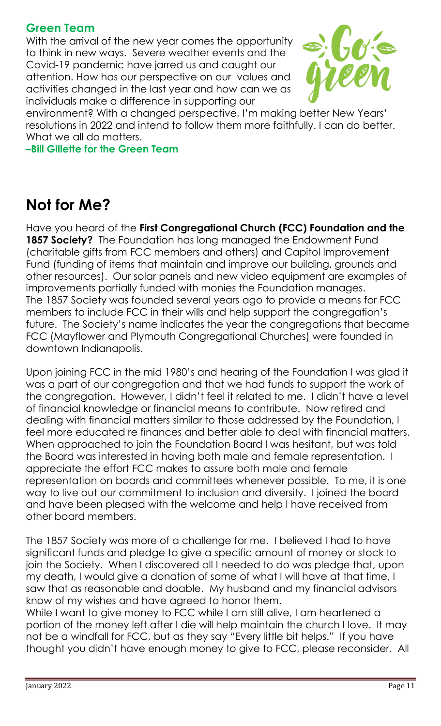## **Green Team**

With the arrival of the new year comes the opportunity to think in new ways. Severe weather events and the Covid-19 pandemic have jarred us and caught our attention. How has our perspective on our values and activities changed in the last year and how can we as individuals make a difference in supporting our



environment? With a changed perspective, I'm making better New Years' resolutions in 2022 and intend to follow them more faithfully. I can do better. What we all do matters.

**–Bill Gillette for the Green Team** 

## **Not for Me?**

Have you heard of the **First Congregational Church (FCC) Foundation and the 1857 Society?** The Foundation has long managed the Endowment Fund (charitable gifts from FCC members and others) and Capitol Improvement Fund (funding of items that maintain and improve our building, grounds and other resources). Our solar panels and new video equipment are examples of improvements partially funded with monies the Foundation manages. The 1857 Society was founded several years ago to provide a means for FCC members to include FCC in their wills and help support the congregation's future. The Society's name indicates the year the congregations that became FCC (Mayflower and Plymouth Congregational Churches) were founded in downtown Indianapolis.

Upon joining FCC in the mid 1980's and hearing of the Foundation I was glad it was a part of our congregation and that we had funds to support the work of the congregation. However, I didn't feel it related to me. I didn't have a level of financial knowledge or financial means to contribute. Now retired and dealing with financial matters similar to those addressed by the Foundation, I feel more educated re finances and better able to deal with financial matters. When approached to join the Foundation Board I was hesitant, but was told the Board was interested in having both male and female representation. I appreciate the effort FCC makes to assure both male and female representation on boards and committees whenever possible. To me, it is one way to live out our commitment to inclusion and diversity. I joined the board and have been pleased with the welcome and help I have received from other board members.

The 1857 Society was more of a challenge for me. I believed I had to have significant funds and pledge to give a specific amount of money or stock to join the Society. When I discovered all I needed to do was pledge that, upon my death, I would give a donation of some of what I will have at that time, I saw that as reasonable and doable. My husband and my financial advisors know of my wishes and have agreed to honor them.

While I want to give money to FCC while I am still alive, I am heartened a portion of the money left after I die will help maintain the church I love. It may not be a windfall for FCC, but as they say "Every little bit helps." If you have thought you didn't have enough money to give to FCC, please reconsider. All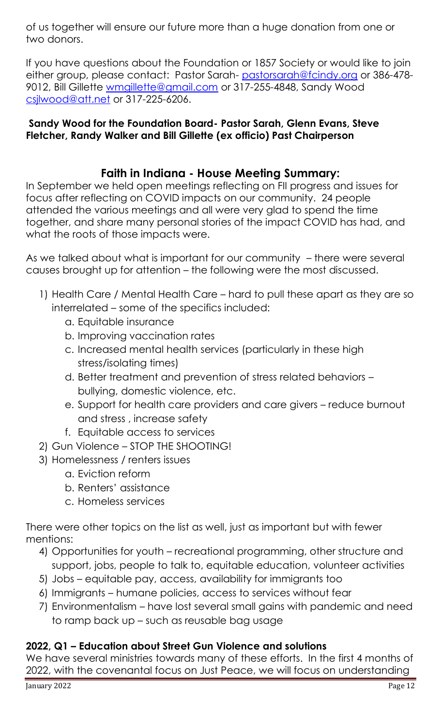of us together will ensure our future more than a huge donation from one or two donors.

If you have questions about the Foundation or 1857 Society or would like to join either group, please contact: Pastor Sarah- [pastorsarah@fcindy.org](mailto:pastorsarah@fcindy.org) or 386-478 9012, Bill Gillette [wmgillette@gmail.com](mailto:wmgillette@gmail.com) or 317-255-4848, Sandy Wood [csjlwood@att.net](mailto:csjlwood@att.net) or 317-225-6206.

#### **Sandy Wood for the Foundation Board- Pastor Sarah, Glenn Evans, Steve Fletcher, Randy Walker and Bill Gillette (ex officio) Past Chairperson**

## **Faith in Indiana - House Meeting Summary:**

In September we held open meetings reflecting on FII progress and issues for focus after reflecting on COVID impacts on our community. 24 people attended the various meetings and all were very glad to spend the time together, and share many personal stories of the impact COVID has had, and what the roots of those impacts were.

As we talked about what is important for our community – there were several causes brought up for attention – the following were the most discussed.

- 1) Health Care / Mental Health Care hard to pull these apart as they are so interrelated – some of the specifics included:
	- a. Equitable insurance
	- b. Improving vaccination rates
	- c. Increased mental health services (particularly in these high stress/isolating times)
	- d. Better treatment and prevention of stress related behaviors bullying, domestic violence, etc.
	- e. Support for health care providers and care givers reduce burnout and stress , increase safety
	- f. Equitable access to services
- 2) Gun Violence STOP THE SHOOTING!
- 3) Homelessness / renters issues
	- a. Eviction reform
	- b. Renters' assistance
	- c. Homeless services

There were other topics on the list as well, just as important but with fewer mentions:

- 4) Opportunities for youth recreational programming, other structure and support, jobs, people to talk to, equitable education, volunteer activities
- 5) Jobs equitable pay, access, availability for immigrants too
- 6) Immigrants humane policies, access to services without fear
- 7) Environmentalism have lost several small gains with pandemic and need to ramp back up – such as reusable bag usage

#### **2022, Q1 – Education about Street Gun Violence and solutions**

We have several ministries towards many of these efforts. In the first 4 months of 2022, with the covenantal focus on Just Peace, we will focus on understanding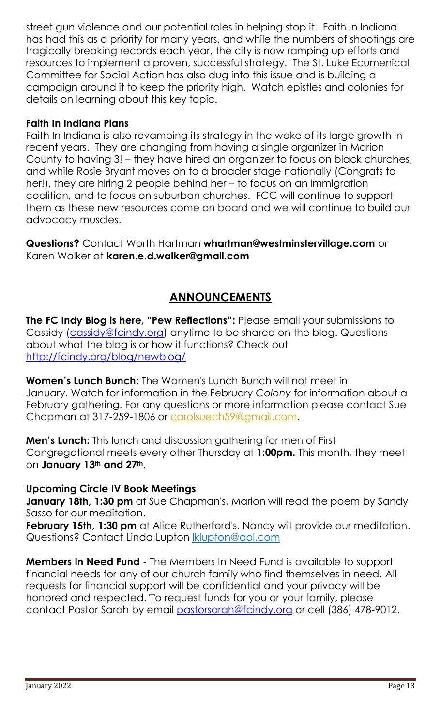street gun violence and our potential roles in helping stop it. Faith In Indiana has had this as a priority for many years, and while the numbers of shootings are tragically breaking records each year, the city is now ramping up efforts and resources to implement a proven, successful strategy. The St. Luke Ecumenical Committee for Social Action has also dug into this issue and is building a campaign around it to keep the priority high. Watch epistles and colonies for details on learning about this key topic.

#### **Faith In Indiana Plans**

Faith In Indiana is also revamping its strategy in the wake of its large growth in recent years. They are changing from having a single organizer in Marion County to having 3! – they have hired an organizer to focus on black churches, and while Rosie Bryant moves on to a broader stage nationally (Congrats to her!), they are hiring 2 people behind her – to focus on an immigration coalition, and to focus on suburban churches. FCC will continue to support them as these new resources come on board and we will continue to build our advocacy muscles.

**Questions?** Contact Worth Hartman **[whartman@westminstervillage.com](mailto:whartman@westminstervillage.com)** or Karen Walker at **karen.e.d.walker@gmail.com**

## **ANNOUNCEMENTS**

**The FC Indy Blog is here, "Pew Reflections":** Please email your submissions to Cassidy [\(cassidy@fcindy.org\)](mailto:cassidy@fcindy.org) anytime to be shared on the blog. Questions about what the blog is or how it functions? Check out <http://fcindy.org/blog/newblog/>

**Women's Lunch Bunch:** The Women's Lunch Bunch will not meet in January. Watch for information in the February *Colony* for information about a February gathering. For any questions or more information please contact Sue Chapman at 317-259-1806 or [carolsuech59@gmail.com.](mailto:carolsuech59@gmail.com)

**Men's Lunch:** This lunch and discussion gathering for men of First Congregational meets every other Thursday at **1:00pm.** This month, they meet on **January 13th and 27th**.

#### **Upcoming Circle IV Book Meetings**

**January 18th, 1:30 pm** at Sue Chapman's, Marion will read the poem by Sandy Sasso for our meditation.

**February 15th, 1:30 pm** at Alice Rutherford's, Nancy will provide our meditation. Questions? Contact Linda Lupton **klupton@aol.com** 

**Members In Need Fund -** The Members In Need Fund is available to support financial needs for any of our church family who find themselves in need. All requests for financial support will be confidential and your privacy will be honored and respected. To request funds for you or your family, please contact Pastor Sarah by email [pastorsarah@fcindy.org](mailto:pastorsarah@fcindy.org) or cell (386) 478-9012.